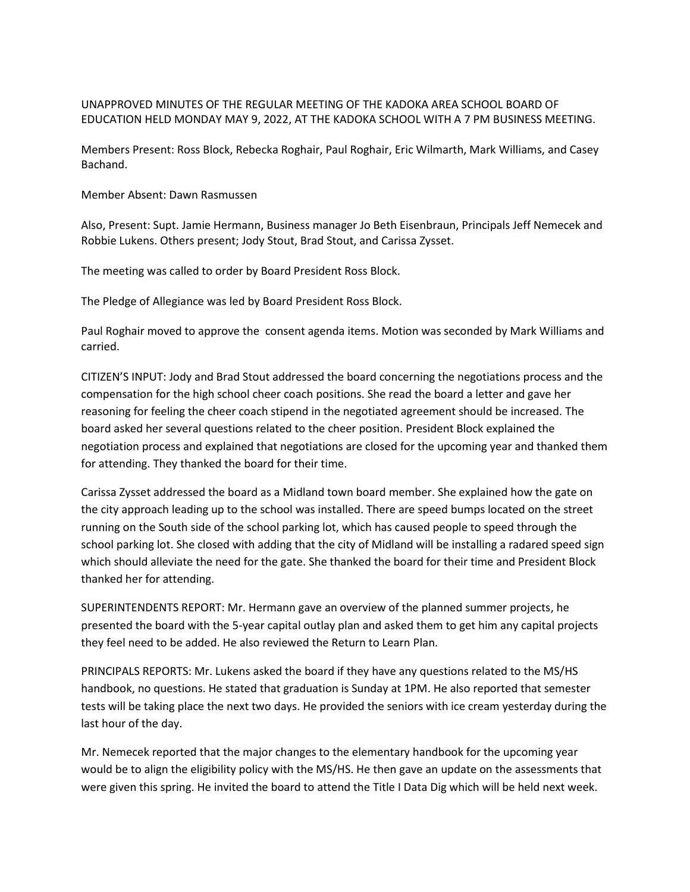## UNAPPROVED MINUTES OF THE REGULAR MEETING OF THE KADOKA AREA SCHOOL BOARD OF EDUCATION HELD MONDAY MAY 9, 2022, AT THE KADOKA SCHOOL WITH A 7 PM BUSINESS MEETING.

Members Present: Ross Block, Rebecka Roghair, Paul Roghair, Eric Wilmarth, Mark Williams, and Casey Bachand.

Member Absent: Dawn Rasmussen

Also, Present: Supt. Jamie Hermann, Business manager Jo Beth Eisenbraun, Principals Jeff Nemecek and Robbie Lukens. Others present; Jody Stout, Brad Stout, and Carissa Zysset.

The meeting was called to order by Board President Ross Block.

The Pledge of Allegiance was led by Board President Ross Block.

Paul Roghair moved to approve the consent agenda items. Motion was seconded by Mark Williams and carried.

CITIZEN'S INPUT: Jody and Brad Stout addressed the board concerning the negotiations process and the compensation for the high school cheer coach positions. She read the board a letter and gave her reasoning for feeling the cheer coach stipend in the negotiated agreement should be increased. The board asked her several questions related to the cheer position. President Block explained the negotiation process and explained that negotiations are closed for the upcoming year and thanked them for attending. They thanked the board for their time.

Carissa Zysset addressed the board as a Midland town board member. She explained how the gate on the city approach leading up to the school was installed. There are speed bumps located on the street running on the South side of the school parking lot, which has caused people to speed through the school parking lot. She closed with adding that the city of Midland will be installing a radared speed sign which should alleviate the need for the gate. She thanked the board for their time and President Block thanked her for attending.

SUPERINTENDENTS REPORT: Mr. Hermann gave an overview of the planned summer projects, he presented the board with the 5-year capital outlay plan and asked them to get him any capital projects they feel need to be added. He also reviewed the Return to Learn Plan.

PRINCIPALS REPORTS: Mr. Lukens asked the board if they have any questions related to the MS/HS handbook, no questions. He stated that graduation is Sunday at 1PM. He also reported that semester tests will be taking place the next two days. He provided the seniors with ice cream yesterday during the last hour of the day.

Mr. Nemecek reported that the major changes to the elementary handbook for the upcoming year would be to align the eligibility policy with the MS/HS. He then gave an update on the assessments that were given this spring. He invited the board to attend the Title I Data Dig which will be held next week.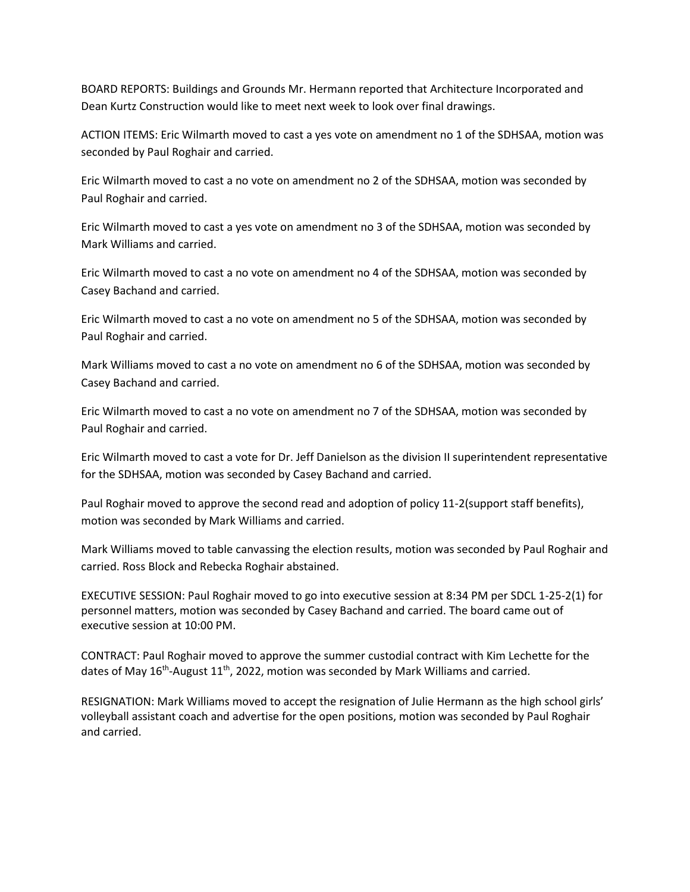BOARD REPORTS: Buildings and Grounds Mr. Hermann reported that Architecture Incorporated and Dean Kurtz Construction would like to meet next week to look over final drawings.

ACTION ITEMS: Eric Wilmarth moved to cast a yes vote on amendment no 1 of the SDHSAA, motion was seconded by Paul Roghair and carried.

Eric Wilmarth moved to cast a no vote on amendment no 2 of the SDHSAA, motion was seconded by Paul Roghair and carried.

Eric Wilmarth moved to cast a yes vote on amendment no 3 of the SDHSAA, motion was seconded by Mark Williams and carried.

Eric Wilmarth moved to cast a no vote on amendment no 4 of the SDHSAA, motion was seconded by Casey Bachand and carried.

Eric Wilmarth moved to cast a no vote on amendment no 5 of the SDHSAA, motion was seconded by Paul Roghair and carried.

Mark Williams moved to cast a no vote on amendment no 6 of the SDHSAA, motion was seconded by Casey Bachand and carried.

Eric Wilmarth moved to cast a no vote on amendment no 7 of the SDHSAA, motion was seconded by Paul Roghair and carried.

Eric Wilmarth moved to cast a vote for Dr. Jeff Danielson as the division II superintendent representative for the SDHSAA, motion was seconded by Casey Bachand and carried.

Paul Roghair moved to approve the second read and adoption of policy 11-2(support staff benefits), motion was seconded by Mark Williams and carried.

Mark Williams moved to table canvassing the election results, motion was seconded by Paul Roghair and carried. Ross Block and Rebecka Roghair abstained.

EXECUTIVE SESSION: Paul Roghair moved to go into executive session at 8:34 PM per SDCL 1-25-2(1) for personnel matters, motion was seconded by Casey Bachand and carried. The board came out of executive session at 10:00 PM.

CONTRACT: Paul Roghair moved to approve the summer custodial contract with Kim Lechette for the dates of May 16<sup>th</sup>-August 11<sup>th</sup>, 2022, motion was seconded by Mark Williams and carried.

RESIGNATION: Mark Williams moved to accept the resignation of Julie Hermann as the high school girls' volleyball assistant coach and advertise for the open positions, motion was seconded by Paul Roghair and carried.